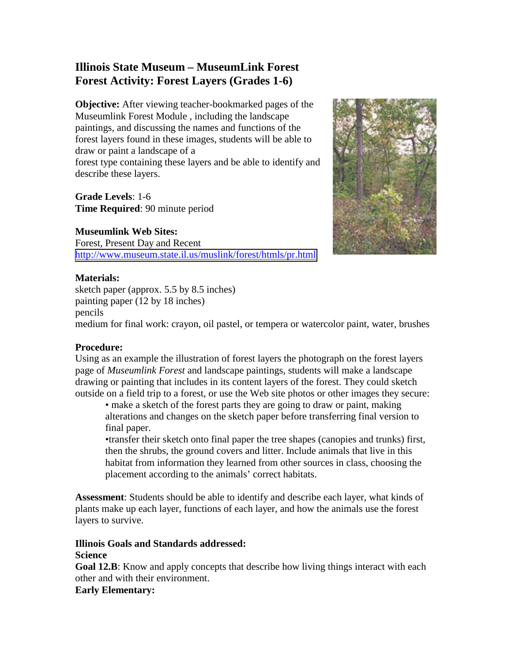# **Illinois State Museum – MuseumLink Forest Forest Activity: Forest Layers (Grades 1-6)**

**Objective:** After viewing teacher-bookmarked pages of the Museumlink Forest Module , including the landscape paintings, and discussing the names and functions of the forest layers found in these images, students will be able to draw or paint a landscape of a

forest type containing these layers and be able to identify and describe these layers.

**Grade Levels**: 1-6 **Time Required**: 90 minute period

## **Museumlink Web Sites:**

Forest, Present Day and Recent <http://www.museum.state.il.us/muslink/forest/htmls/pr.html>



### **Materials:**

sketch paper (approx. 5.5 by 8.5 inches) painting paper (12 by 18 inches) pencils

medium for final work: crayon, oil pastel, or tempera or watercolor paint, water, brushes

### **Procedure:**

Using as an example the illustration of forest layers the photograph on the forest layers page of *Museumlink Forest* and landscape paintings, students will make a landscape drawing or painting that includes in its content layers of the forest. They could sketch outside on a field trip to a forest, or use the Web site photos or other images they secure:

• make a sketch of the forest parts they are going to draw or paint, making alterations and changes on the sketch paper before transferring final version to final paper.

•transfer their sketch onto final paper the tree shapes (canopies and trunks) first, then the shrubs, the ground covers and litter. Include animals that live in this habitat from information they learned from other sources in class, choosing the placement according to the animals' correct habitats.

**Assessment**: Students should be able to identify and describe each layer, what kinds of plants make up each layer, functions of each layer, and how the animals use the forest layers to survive.

#### **Illinois Goals and Standards addressed: Science**

**Goal 12.B**: Know and apply concepts that describe how living things interact with each other and with their environment.

**Early Elementary:**